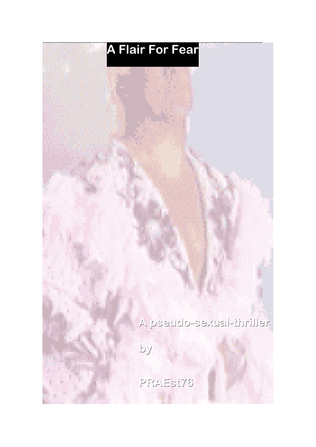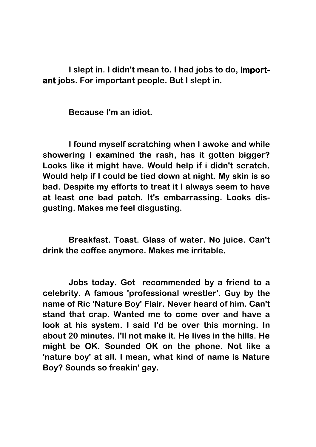**I slept in. I didn't mean to. I had jobs to do, important jobs. For important people. But I slept in.** 

**Because I'm an idiot.**

**I found myself scratching when I awoke and while showering I examined the rash, has it gotten bigger? Looks like it might have. Would help if i didn't scratch. Would help if I could be tied down at night. My skin is so bad. Despite my efforts to treat it I always seem to have at least one bad patch. It's embarrassing. Looks disgusting. Makes me feel disgusting.**

**Breakfast. Toast. Glass of water. No juice. Can't drink the coffee anymore. Makes me irritable.**

**Jobs today. Got recommended by a friend to a celebrity. A famous 'professional wrestler'. Guy by the name of Ric 'Nature Boy' Flair. Never heard of him. Can't stand that crap. Wanted me to come over and have a look at his system. I said I'd be over this morning. In about 20 minutes. I'll not make it. He lives in the hills. He might be OK. Sounded OK on the phone. Not like a 'nature boy' at all. I mean, what kind of name is Nature Boy? Sounds so freakin' gay.**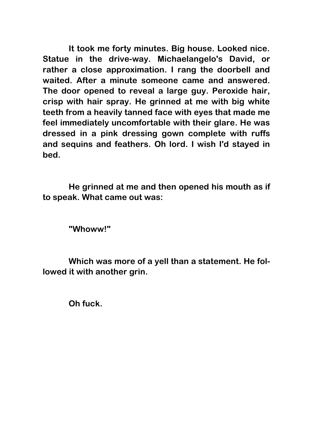**It took me forty minutes. Big house. Looked nice. Statue in the drive-way. Michaelangelo's David, or rather a close approximation. I rang the doorbell and waited. After a minute someone came and answered. The door opened to reveal a large guy. Peroxide hair, crisp with hair spray. He grinned at me with big white teeth from a heavily tanned face with eyes that made me feel immediately uncomfortable with their glare. He was dressed in a pink dressing gown complete with ruffs and sequins and feathers. Oh lord. I wish I'd stayed in bed.**

**He grinned at me and then opened his mouth as if to speak. What came out was:**

**"Whoww!"**

**Which was more of a yell than a statement. He followed it with another grin.** 

**Oh fuck.**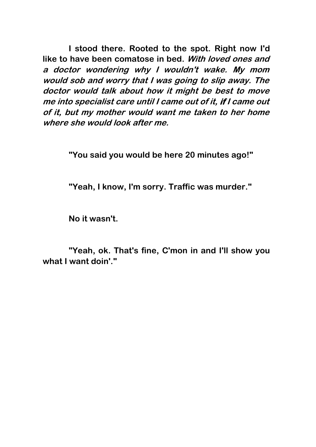**I stood there. Rooted to the spot. Right now I'd like to have been comatose in bed. With loved ones and <sup>a</sup> doctor wondering why I wouldn't wake. My mom would sob and worry that I was going to slip away. The doctor would talk about how it might be best to move me into specialist care until I came out of it, if I came out of it, but my mother would want me taken to her home where she would look after me.**

**"You said you would be here 20 minutes ago!"**

**"Yeah, I know, I'm sorry. Traffic was murder."** 

**No it wasn't.**

**"Yeah, ok. That's fine, C'mon in and I'll show you what I want doin'."**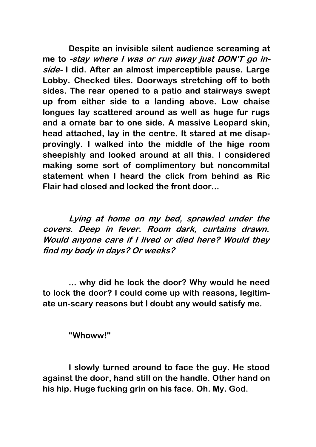**Despite an invisible silent audience screaming at me to -stay where I was or run away just DON'T go inside- I did. After an almost imperceptible pause. Large Lobby. Checked tiles. Doorways stretching off to both sides. The rear opened to a patio and stairways swept up from either side to a landing above. Low chaise longues lay scattered around as well as huge fur rugs and a ornate bar to one side. A massive Leopard skin, head attached, lay in the centre. It stared at me disapprovingly. I walked into the middle of the hige room sheepishly and looked around at all this. I considered making some sort of complimentory but noncommital statement when I heard the click from behind as Ric Flair had closed and locked the front door...**

**Lying at home on my bed, sprawled under the covers. Deep in fever. Room dark, curtains drawn. Would anyone care if I lived or died here? Would they find my body in days? Or weeks?**

**... why did he lock the door? Why would he need to lock the door? I could come up with reasons, legitimate un-scary reasons but I doubt any would satisfy me.**

**"Whoww!"**

**I slowly turned around to face the guy. He stood against the door, hand still on the handle. Other hand on his hip. Huge fucking grin on his face. Oh. My. God.**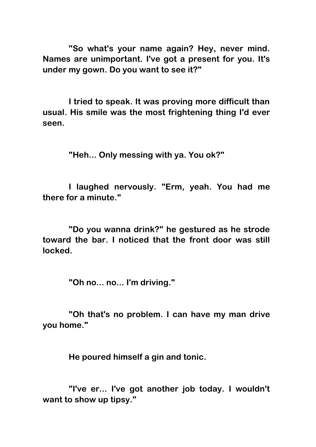**"So what's your name again? Hey, never mind. Names are unimportant. I've got a present for you. It's under my gown. Do you want to see it?"**

**I tried to speak. It was proving more difficult than usual. His smile was the most frightening thing I'd ever seen.**

**"Heh... Only messing with ya. You ok?"**

**I laughed nervously. "Erm, yeah. You had me there for a minute."**

**"Do you wanna drink?" he gestured as he strode toward the bar. I noticed that the front door was still locked.**

**"Oh no... no... I'm driving."**

**"Oh that's no problem. I can have my man drive you home."**

**He poured himself a gin and tonic.**

**"I've er... I've got another job today. I wouldn't want to show up tipsy."**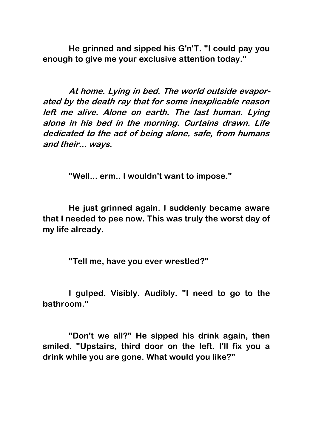**He grinned and sipped his G'n'T. "I could pay you enough to give me your exclusive attention today."**

**At home. Lying in bed. The world outside evaporated by the death ray that for some inexplicable reason left me alive. Alone on earth. The last human. Lying alone in his bed in the morning. Curtains drawn. Life dedicated to the act of being alone, safe, from humans and their... ways.**

**"Well... erm.. I wouldn't want to impose."**

**He just grinned again. I suddenly became aware that I needed to pee now. This was truly the worst day of my life already.**

**"Tell me, have you ever wrestled?"**

**I gulped. Visibly. Audibly. "I need to go to the bathroom."**

**"Don't we all?" He sipped his drink again, then smiled. "Upstairs, third door on the left. I'll fix you a drink while you are gone. What would you like?"**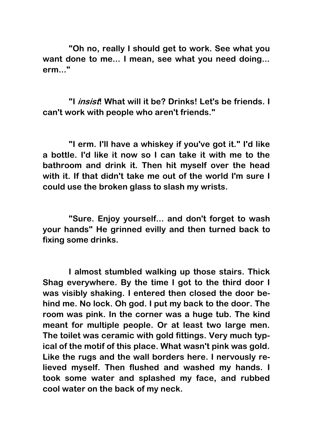**"Oh no, really I should get to work. See what you want done to me... I mean, see what you need doing... erm..."**

**"I insist! What will it be? Drinks! Let's be friends. I can't work with people who aren't friends."**

**"I erm. I'll have a whiskey if you've got it." I'd like a bottle. I'd like it now so I can take it with me to the bathroom and drink it. Then hit myself over the head with it. If that didn't take me out of the world I'm sure I could use the broken glass to slash my wrists.**

**"Sure. Enjoy yourself... and don't forget to wash your hands" He grinned evilly and then turned back to fixing some drinks.**

**I almost stumbled walking up those stairs. Thick Shag everywhere. By the time I got to the third door I was visibly shaking. I entered then closed the door behind me. No lock. Oh god. I put my back to the door. The room was pink. In the corner was a huge tub. The kind meant for multiple people. Or at least two large men. The toilet was ceramic with gold fittings. Very much typical of the motif of this place. What wasn't pink was gold. Like the rugs and the wall borders here. I nervously relieved myself. Then flushed and washed my hands. I took some water and splashed my face, and rubbed cool water on the back of my neck.**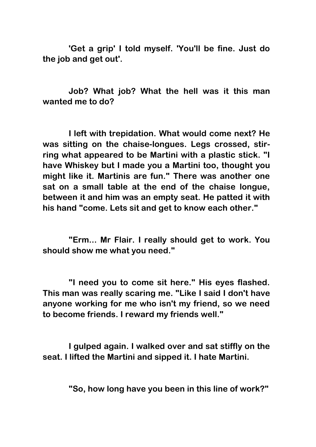**'Get a grip' I told myself. 'You'll be fine. Just do the job and get out'.**

**Job? What job? What the hell was it this man wanted me to do?**

**I left with trepidation. What would come next? He was sitting on the chaise-longues. Legs crossed, stirring what appeared to be Martini with a plastic stick. "I have Whiskey but I made you a Martini too, thought you might like it. Martinis are fun." There was another one sat on a small table at the end of the chaise longue, between it and him was an empty seat. He patted it with his hand "come. Lets sit and get to know each other."**

**"Erm... Mr Flair. I really should get to work. You should show me what you need."**

**"I need you to come sit here." His eyes flashed. This man was really scaring me. "Like I said I don't have anyone working for me who isn't my friend, so we need to become friends. I reward my friends well."**

**I gulped again. I walked over and sat stiffly on the seat. I lifted the Martini and sipped it. I hate Martini.**

**"So, how long have you been in this line of work?"**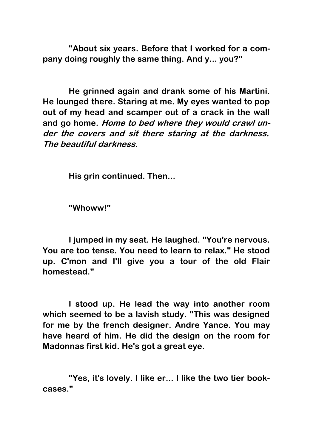**"About six years. Before that I worked for a company doing roughly the same thing. And y... you?"**

**He grinned again and drank some of his Martini. He lounged there. Staring at me. My eyes wanted to pop out of my head and scamper out of a crack in the wall and go home. Home to bed where they would crawl under the covers and sit there staring at the darkness. The beautiful darkness.**

**His grin continued. Then...**

**"Whoww!"**

**I jumped in my seat. He laughed. "You're nervous. You are too tense. You need to learn to relax." He stood up. C'mon and I'll give you a tour of the old Flair homestead."**

**I stood up. He lead the way into another room which seemed to be a lavish study. "This was designed for me by the french designer. Andre Yance. You may have heard of him. He did the design on the room for Madonnas first kid. He's got a great eye.**

**"Yes, it's lovely. I like er... I like the two tier bookcases."**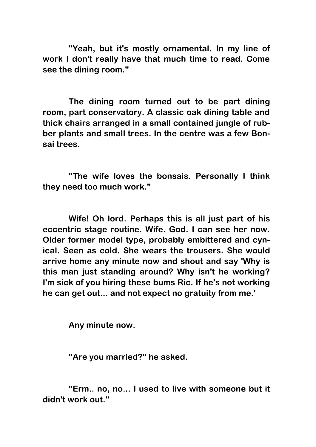**"Yeah, but it's mostly ornamental. In my line of work I don't really have that much time to read. Come see the dining room."**

**The dining room turned out to be part dining room, part conservatory. A classic oak dining table and thick chairs arranged in a small contained jungle of rubber plants and small trees. In the centre was a few Bonsai trees.**

**"The wife loves the bonsais. Personally I think they need too much work."**

**Wife! Oh lord. Perhaps this is all just part of his eccentric stage routine. Wife. God. I can see her now. Older former model type, probably embittered and cynical. Seen as cold. She wears the trousers. She would arrive home any minute now and shout and say 'Why is this man just standing around? Why isn't he working? I'm sick of you hiring these bums Ric. If he's not working he can get out... and not expect no gratuity from me.'**

**Any minute now.**

**"Are you married?" he asked.**

**"Erm.. no, no... I used to live with someone but it didn't work out."**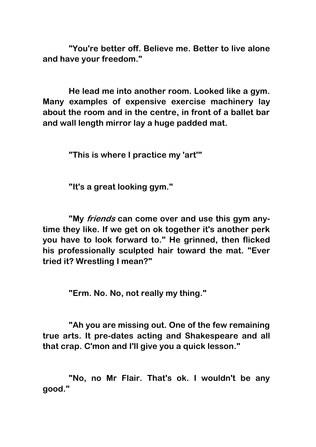**"You're better off. Believe me. Better to live alone and have your freedom."**

**He lead me into another room. Looked like a gym. Many examples of expensive exercise machinery lay about the room and in the centre, in front of a ballet bar and wall length mirror lay a huge padded mat.**

**"This is where I practice my 'art'"**

**"It's a great looking gym."**

**"My friends can come over and use this gym anytime they like. If we get on ok together it's another perk you have to look forward to." He grinned, then flicked his professionally sculpted hair toward the mat. "Ever tried it? Wrestling I mean?"**

**"Erm. No. No, not really my thing."**

**"Ah you are missing out. One of the few remaining true arts. It pre-dates acting and Shakespeare and all that crap. C'mon and I'll give you a quick lesson."**

**"No, no Mr Flair. That's ok. I wouldn't be any good."**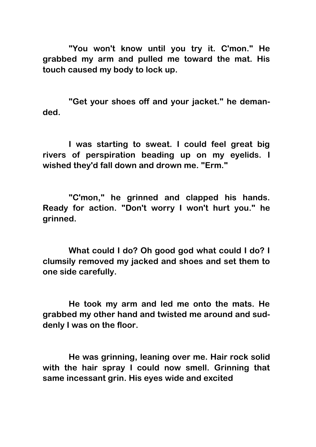**"You won't know until you try it. C'mon." He grabbed my arm and pulled me toward the mat. His touch caused my body to lock up.**

**"Get your shoes off and your jacket." he demanded.**

**I was starting to sweat. I could feel great big rivers of perspiration beading up on my eyelids. I wished they'd fall down and drown me. "Erm."**

**"C'mon," he grinned and clapped his hands. Ready for action. "Don't worry I won't hurt you." he grinned.**

**What could I do? Oh good god what could I do? I clumsily removed my jacked and shoes and set them to one side carefully.**

**He took my arm and led me onto the mats. He grabbed my other hand and twisted me around and suddenly I was on the floor.**

**He was grinning, leaning over me. Hair rock solid with the hair spray I could now smell. Grinning that same incessant grin. His eyes wide and excited**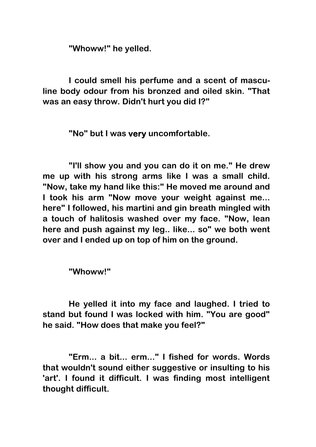**"Whoww!" he yelled.**

**I could smell his perfume and a scent of masculine body odour from his bronzed and oiled skin. "That was an easy throw. Didn't hurt you did I?"**

**"No" but I was very uncomfortable.**

**"I'll show you and you can do it on me." He drew me up with his strong arms like I was a small child. "Now, take my hand like this:" He moved me around and I took his arm "Now move your weight against me... here" I followed, his martini and gin breath mingled with a touch of halitosis washed over my face. "Now, lean here and push against my leg.. like... so" we both went over and I ended up on top of him on the ground.**

**"Whoww!"**

**He yelled it into my face and laughed. I tried to stand but found I was locked with him. "You are good" he said. "How does that make you feel?"**

**"Erm... a bit... erm..." I fished for words. Words that wouldn't sound either suggestive or insulting to his 'art'. I found it difficult. I was finding most intelligent thought difficult.**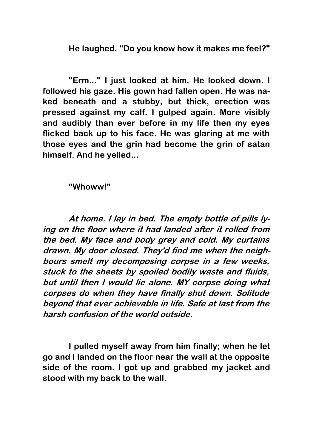**He laughed. "Do you know how it makes me feel?"**

**"Erm..." I just looked at him. He looked down. I followed his gaze. His gown had fallen open. He was naked beneath and a stubby, but thick, erection was pressed against my calf. I gulped again. More visibly and audibly than ever before in my life then my eyes flicked back up to his face. He was glaring at me with those eyes and the grin had become the grin of satan himself. And he yelled...**

**"Whoww!"**

**At home. I lay in bed. The empty bottle of pills lying on the floor where it had landed after it rolled from the bed. My face and body grey and cold. My curtains drawn. My door closed. They'd find me when the neighbours smelt my decomposing corpse in a few weeks, stuck to the sheets by spoiled bodily waste and fluids, but until then I would lie alone. MY corpse doing what corpses do when they have finally shut down. Solitude beyond that ever achievable in life. Safe at last from the harsh confusion of the world outside.**

**I pulled myself away from him finally; when he let go and I landed on the floor near the wall at the opposite side of the room. I got up and grabbed my jacket and stood with my back to the wall.**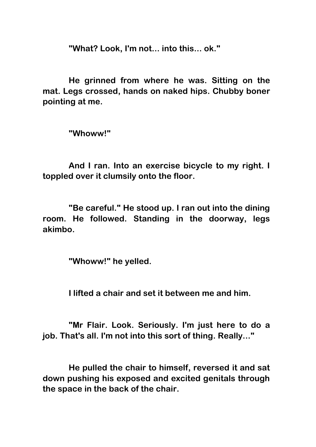**"What? Look, I'm not... into this... ok."**

**He grinned from where he was. Sitting on the mat. Legs crossed, hands on naked hips. Chubby boner pointing at me.**

**"Whoww!"**

**And I ran. Into an exercise bicycle to my right. I toppled over it clumsily onto the floor.**

**"Be careful." He stood up. I ran out into the dining room. He followed. Standing in the doorway, legs akimbo.**

**"Whoww!" he yelled.**

**I lifted a chair and set it between me and him.**

**"Mr Flair. Look. Seriously. I'm just here to do a job. That's all. I'm not into this sort of thing. Really..."**

**He pulled the chair to himself, reversed it and sat down pushing his exposed and excited genitals through the space in the back of the chair.**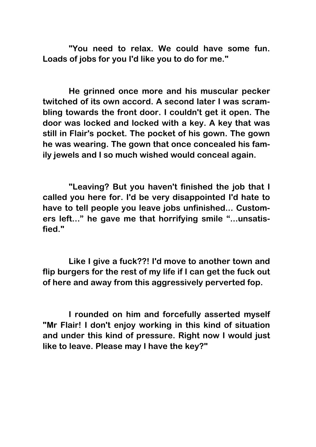**"You need to relax. We could have some fun. Loads of jobs for you I'd like you to do for me."**

**He grinned once more and his muscular pecker twitched of its own accord. A second later I was scrambling towards the front door. I couldn't get it open. The door was locked and locked with a key. A key that was still in Flair's pocket. The pocket of his gown. The gown he was wearing. The gown that once concealed his family jewels and I so much wished would conceal again.**

**"Leaving? But you haven't finished the job that I called you here for. I'd be very disappointed I'd hate to have to tell people you leave jobs unfinished... Customers left..." he gave me that horrifying smile "...unsatisfied."**

**Like I give a fuck??! I'd move to another town and flip burgers for the rest of my life if I can get the fuck out of here and away from this aggressively perverted fop.**

**I rounded on him and forcefully asserted myself "Mr Flair! I don't enjoy working in this kind of situation and under this kind of pressure. Right now I would just like to leave. Please may I have the key?"**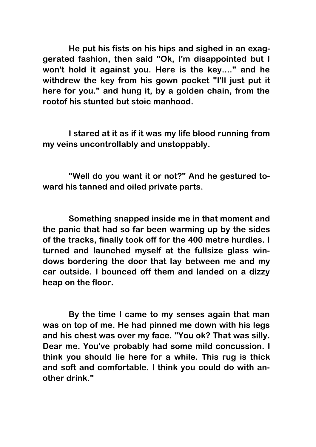**He put his fists on his hips and sighed in an exaggerated fashion, then said "Ok, I'm disappointed but I won't hold it against you. Here is the key...." and he withdrew the key from his gown pocket "I'll just put it here for you." and hung it, by a golden chain, from the rootof his stunted but stoic manhood.**

**I stared at it as if it was my life blood running from my veins uncontrollably and unstoppably.**

**"Well do you want it or not?" And he gestured toward his tanned and oiled private parts.**

**Something snapped inside me in that moment and the panic that had so far been warming up by the sides of the tracks, finally took off for the 400 metre hurdles. I turned and launched myself at the fullsize glass windows bordering the door that lay between me and my car outside. I bounced off them and landed on a dizzy heap on the floor.**

**By the time I came to my senses again that man was on top of me. He had pinned me down with his legs and his chest was over my face. "You ok? That was silly. Dear me. You've probably had some mild concussion. I think you should lie here for a while. This rug is thick and soft and comfortable. I think you could do with another drink."**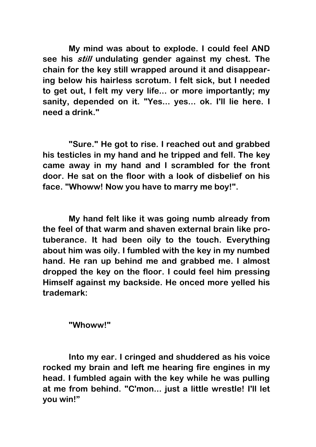**My mind was about to explode. I could feel AND see his still undulating gender against my chest. The chain for the key still wrapped around it and disappearing below his hairless scrotum. I felt sick, but I needed to get out, I felt my very life... or more importantly; my sanity, depended on it. "Yes... yes... ok. I'll lie here. I need a drink."**

**"Sure." He got to rise. I reached out and grabbed his testicles in my hand and he tripped and fell. The key came away in my hand and I scrambled for the front door. He sat on the floor with a look of disbelief on his face. "Whoww! Now you have to marry me boy!".**

**My hand felt like it was going numb already from the feel of that warm and shaven external brain like protuberance. It had been oily to the touch. Everything about him was oily. I fumbled with the key in my numbed hand. He ran up behind me and grabbed me. I almost dropped the key on the floor. I could feel him pressing Himself against my backside. He onced more yelled his trademark:**

**"Whoww!"**

**Into my ear. I cringed and shuddered as his voice rocked my brain and left me hearing fire engines in my head. I fumbled again with the key while he was pulling at me from behind. "C'mon... just a little wrestle! I'll let you win!"**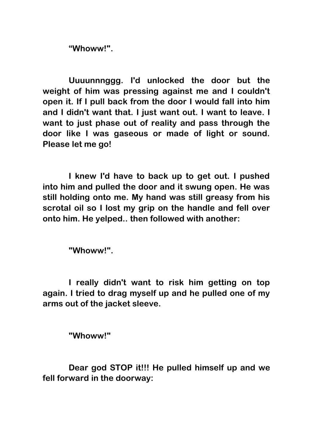**"Whoww!".**

**Uuuunnnggg. I'd unlocked the door but the weight of him was pressing against me and I couldn't open it. If I pull back from the door I would fall into him and I didn't want that. I just want out. I want to leave. I want to just phase out of reality and pass through the door like I was gaseous or made of light or sound. Please let me go!**

**I knew I'd have to back up to get out. I pushed into him and pulled the door and it swung open. He was still holding onto me. My hand was still greasy from his scrotal oil so I lost my grip on the handle and fell over onto him. He yelped.. then followed with another:**

**"Whoww!".**

**I really didn't want to risk him getting on top again. I tried to drag myself up and he pulled one of my arms out of the jacket sleeve.**

**"Whoww!"**

**Dear god STOP it!!! He pulled himself up and we fell forward in the doorway:**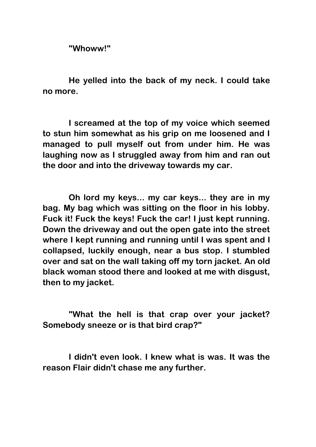**"Whoww!"**

**He yelled into the back of my neck. I could take no more.** 

**I screamed at the top of my voice which seemed to stun him somewhat as his grip on me loosened and I managed to pull myself out from under him. He was laughing now as I struggled away from him and ran out the door and into the driveway towards my car.**

**Oh lord my keys... my car keys... they are in my bag. My bag which was sitting on the floor in his lobby. Fuck it! Fuck the keys! Fuck the car! I just kept running. Down the driveway and out the open gate into the street where I kept running and running until I was spent and I collapsed, luckily enough, near a bus stop. I stumbled over and sat on the wall taking off my torn jacket. An old black woman stood there and looked at me with disgust, then to my jacket.**

**"What the hell is that crap over your jacket? Somebody sneeze or is that bird crap?"**

**I didn't even look. I knew what is was. It was the reason Flair didn't chase me any further.**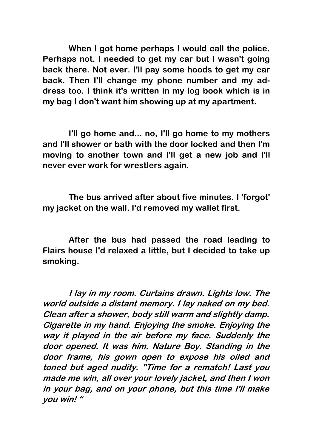**When I got home perhaps I would call the police. Perhaps not. I needed to get my car but I wasn't going back there. Not ever. I'll pay some hoods to get my car back. Then I'll change my phone number and my address too. I think it's written in my log book which is in my bag I don't want him showing up at my apartment.**

**I'll go home and... no, I'll go home to my mothers and I'll shower or bath with the door locked and then I'm moving to another town and I'll get a new job and I'll never ever work for wrestlers again.**

**The bus arrived after about five minutes. I 'forgot' my jacket on the wall. I'd removed my wallet first.**

**After the bus had passed the road leading to Flairs house I'd relaxed a little, but I decided to take up smoking.**

**I lay in my room. Curtains drawn. Lights low. The world outside a distant memory. I lay naked on my bed. Clean after a shower, body still warm and slightly damp. Cigarette in my hand. Enjoying the smoke. Enjoying the way it played in the air before my face. Suddenly the door opened. It was him. Nature Boy. Standing in the door frame, his gown open to expose his oiled and toned but aged nudity. "Time for a rematch! Last you made me win, all over your lovely jacket, and then I won in your bag, and on your phone, but this time I'll make you win! "**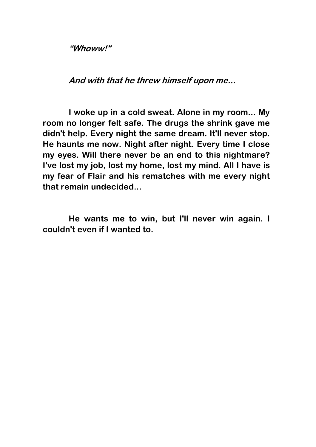**"Whoww!"** 

**And with that he threw himself upon me...**

**I woke up in a cold sweat. Alone in my room... My room no longer felt safe. The drugs the shrink gave me didn't help. Every night the same dream. It'll never stop. He haunts me now. Night after night. Every time I close my eyes. Will there never be an end to this nightmare? I've lost my job, lost my home, lost my mind. All I have is my fear of Flair and his rematches with me every night that remain undecided...**

**He wants me to win, but I'll never win again. I couldn't even if I wanted to.**